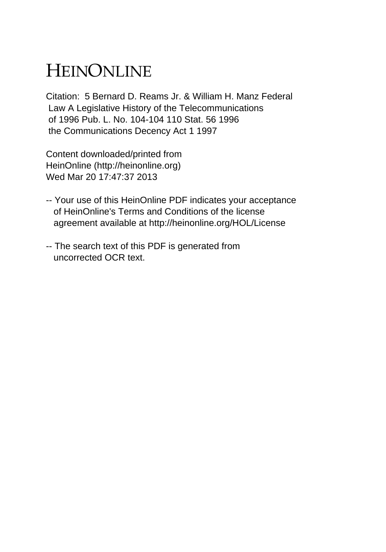# HEINONLINE

Citation: 5 Bernard D. Reams Jr. & William H. Manz Federal Law A Legislative History of the Telecommunications of 1996 Pub. L. No. 104-104 110 Stat. 56 1996 the Communications Decency Act 1 1997

Content downloaded/printed from HeinOnline (http://heinonline.org) Wed Mar 20 17:47:37 2013

- -- Your use of this HeinOnline PDF indicates your acceptance of HeinOnline's Terms and Conditions of the license agreement available at http://heinonline.org/HOL/License
- -- The search text of this PDF is generated from uncorrected OCR text.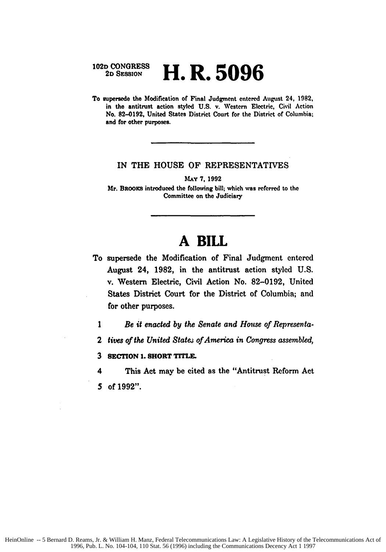## **102D CONGRESS 2D SESSION H.R. 5096**

To supersede the Modification **of** Final Judgment entered August 24, **1982,** in the antitrust action styled U.S. v. Western Electric, Civil Action No. **82-0192,** United States District Court for the District of Columbia; and for other purposes.

#### IN THE **HOUSE** OF REPRESENTATIVES

**MAY 7, 1992**

Mr. BRooxa introduced the following bill; which was referred to the Committee on the Judiciary

# **A BILL**

- To supersede the Modification of Final Judgment entered August 24, **1982,** in the antitrust action styled **U.S.** v. Western Electric, Civil Action No. **82-0192,** United States District Court for the District **of** Columbia; and for other purposes.
	- *1 Be* it *enacted by the Senate and House of Representa-*
	- 2 *tives of the United Statej of America in Congress assembled,*
	- **3 SECTION 1. SHORT TrrLE.**

4 This Act may be cited as the "Antitrust Reform Act *5* of **1992".**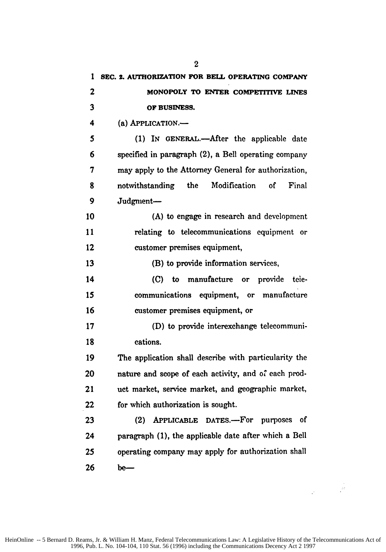| 1            | SEC. 2. AUTHORIZATION FOR BELL OPERATING COMPANY      |
|--------------|-------------------------------------------------------|
| $\mathbf{z}$ | MONOPOLY TO ENTER COMPETITIVE LINES                   |
| 3            | OF BUSINESS.                                          |
| 4            | (a) APPLICATION.-                                     |
| 5            | (1) IN GENERAL.—After the applicable date             |
| 6            | specified in paragraph (2), a Bell operating company  |
| 7            | may apply to the Attorney General for authorization,  |
| 8            | notwithstanding the Modification<br>оf<br>Final       |
| 9            | Judgment-                                             |
| 10           | (A) to engage in research and development             |
| 11           | relating to telecommunications equipment or           |
| 12           | customer premises equipment,                          |
| 13           | (B) to provide information services,                  |
| 14           | (C) to manufacture or provide<br>tele-                |
| 15           | communications equipment, or manufacture              |
| 16           | customer premises equipment, or                       |
| 17           | (D) to provide interexchange telecommuni-             |
| 18           | cations.                                              |
| 19           | The application shall describe with particularity the |
| 20           | nature and scope of each activity, and of each prod-  |
| 21           | uct market, service market, and geographic market,    |
| 22           | for which authorization is sought.                    |
| 23           | (2) APPLICABLE DATES.-For purposes<br>- of            |
| 24           | paragraph (1), the applicable date after which a Bell |
| 25           | operating company may apply for authorization shall   |
| 26           | be-                                                   |

 $\sim$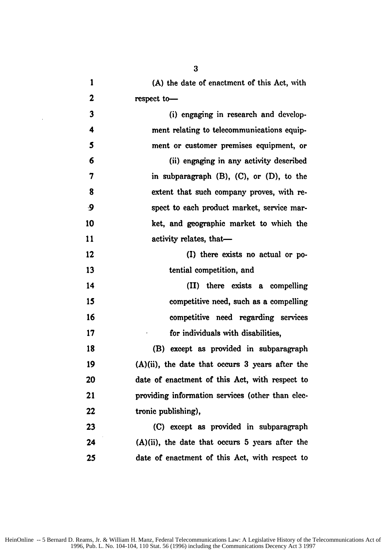| 1         | (A) the date of enactment of this Act, with        |
|-----------|----------------------------------------------------|
| 2         | respect to-                                        |
| 3         | (i) engaging in research and develop-              |
| 4         | ment relating to telecommunications equip-         |
| 5         | ment or customer premises equipment, or            |
| 6         | (ii) engaging in any activity described            |
| 7         | in subparagraph $(B)$ , $(C)$ , or $(D)$ , to the  |
| 8         | extent that such company proves, with re-          |
| $\cdot$ 9 | spect to each product market, service mar-         |
| 10        | ket, and geographic market to which the            |
| 11        | activity relates, that-                            |
| 12        | (I) there exists no actual or po-                  |
| 13        | tential competition, and                           |
| 14        | (II) there exists a compelling                     |
| 15        | competitive need, such as a compelling             |
| 16        | competitive need regarding services                |
| 17        | for individuals with disabilities,                 |
| 18        | (B) except as provided in subparagraph             |
| 19        | $(A)(ii)$ , the date that occurs 3 years after the |
| 20        | date of enactment of this Act, with respect to     |
| 21        | providing information services (other than elec-   |
| 22        | tronic publishing),                                |
| 23        | (C) except as provided in subparagraph             |
| 24        | $(A)(ii)$ , the date that occurs 5 years after the |
| 25        | date of enactment of this Act, with respect to     |

 $\bar{a}$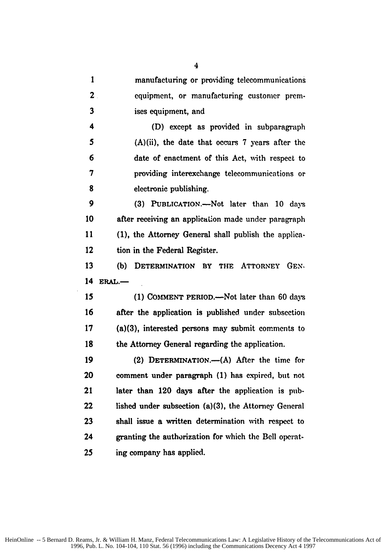| $\mathbf{I}$            | manufacturing or providing telecommunications         |
|-------------------------|-------------------------------------------------------|
| $\overline{2}$ .        | equipment, or manufacturing customer prem-            |
| $\overline{\mathbf{3}}$ | ises equipment, and                                   |
| 4                       | (D) except as provided in subparagraph                |
| 5                       | $(A)(ii)$ , the date that occurs 7 years after the    |
| 6                       | date of enactment of this Act, with respect to        |
| 7                       | providing interexchange telecommunications or         |
| 8                       | electronic publishing.                                |
| 9                       | (3) PUBLICATION.-Not later than 10 days               |
| 10                      | after receiving an application made under paragraph   |
| 11                      | (1), the Attorney General shall publish the applica-  |
| 12                      | tion in the Federal Register.                         |
| 13                      | DETERMINATION BY THE ATTORNEY GEN-<br>(b)             |
| 14                      | $ERAL$ .                                              |
| 15                      | (1) COMMENT PERIOD.—Not later than 60 days            |
| 16                      | after the application is published under subsection   |
| 17                      | $(a)(3)$ , interested persons may submit comments to  |
| 18                      | the Attorney General regarding the application.       |
| 19                      | (2) DETERMINATION.—(A) After the time for             |
| 20                      | comment under paragraph (1) has expired, but not      |
| 21                      | later than 120 days after the application is pub-     |
| 22                      | lished under subsection (a)(3), the Attorney General  |
| 23                      | shall issue a written determination with respect to   |
| 24                      | granting the authorization for which the Bell operat- |
| 25                      | ing company has applied.                              |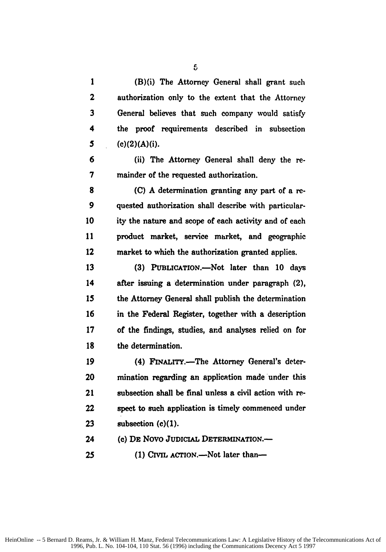**1** (B)(i) The Attorney General shall grant such 2 authorization only to the extent that the Attorney **3** General believes that such company would satisfy 4 the proof requirements described in subsection *5* (c)(2)(A)(i). 6 (ii) The Attorney General shall deny the re-**7** mainder of the requested authorization. **8 (C)** A determination granting any part of a re-9 quested authorization shall describe with particular-**10** ity the nature and scope of each activity and of each 11 **product market, service market, and geographic** 12 market to which the authorization granted applies. **13 (3)** PtBLICATION.-Not later than **10** days 14 after issuing a determination under paragraph (2), **15** the Attorney General shall publish the determination **16** in the Federal Register, together with a description **17** of the findings, studies, and analyses relied on for **18** the determination. 19 (4) FINALITY.—The Attorney General's deter-20 mination regarding an application made under this 21 subsection shall be final unless a civil action with re-22 **spect** to such application is timely commenced under **23** subsection **(c)(1).** 24 **(c) DE** Novo **JUDICIAL DETERMINATION.-**

**25** (1) CIVIL ACTION.—Not later than—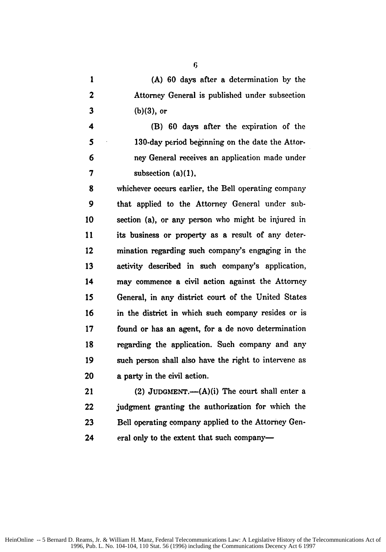**1 (A) 60** days after a determination by the 2 Attorney General is published under subsection **3 (b)(3),** or

4 (B) **60** days after the expiration of the **5** 130-day period beginning on the date the Attor-**6** ney General receives an application made under 7 subsection (a)(1),

**8** whichever occurs earlier, the Bell operating company **9** that applied to the Attorney General under sub-10 section (a), or any person who might be injured in 11 its business or property as a result of any deter-12 mination regarding such company's engaging in the **13** activity described in such company's application, 14 may commence a civil action against the Attorney 15 General, in any district court of the United States 16 in the district in which such company resides or is 17 found or has an agent, for a de novo determination **18** regarding the application. Such company and any 19 such person shall also have the right to intervene as 20 a party in the civil action.

21 (2) **JUDGMIENT.-(A)(i)** The court shall enter a 22 judgment granting the authorization for which the 23 Bell operating company applied to the Attorney Gen-24 eral only to the extent that such company—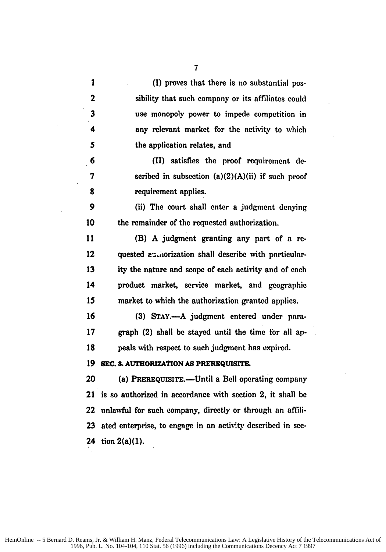| $\mathbf{1}$ | (I) proves that there is no substantial pos-                |
|--------------|-------------------------------------------------------------|
| 2            | sibility that such company or its affiliates could          |
| 3            | use monopoly power to impede competition in                 |
| 4            | any relevant market for the activity to which               |
| 5            | the application relates, and                                |
| 6            | (II) satisfies the proof requirement de-                    |
| 7            | scribed in subsection $(a)(2)(A)(ii)$ if such proof         |
| 8            | requirement applies.                                        |
| 9            | (ii) The court shall enter a judgment denying               |
| 10           | the remainder of the requested authorization.               |
| 11           | (B) A judgment granting any part of a re-                   |
| 12           | quested audiorization shall describe with particular-       |
| 13           | ity the nature and scope of each activity and of each       |
| 14           | product market, service market, and geographic              |
| 15           | market to which the authorization granted applies.          |
| 16           | (3) STAY.-A judgment entered under para-                    |
| 17           | graph (2) shall be stayed until the time for all ap-        |
| 18           | peals with respect to such judgment has expired.            |
| 19           | SEC. 3. AUTHORIZATION AS PREREQUISITE.                      |
| 20           | (a) PREREQUISITE.—Until a Bell operating company            |
| 21           | is so authorized in accordance with section 2, it shall be  |
| 22           | unlawful for such company, directly or through an affili-   |
| 23           | ated enterprise, to engage in an activity described in sec- |
|              | 24 tion $2(a)(1)$ .                                         |

 $\bar{\beta}$ 

7

 $\ddot{\phantom{a}}$ 

 $\ddot{\phantom{1}}$ 

 $\bar{z}$ 

 $\bar{ }$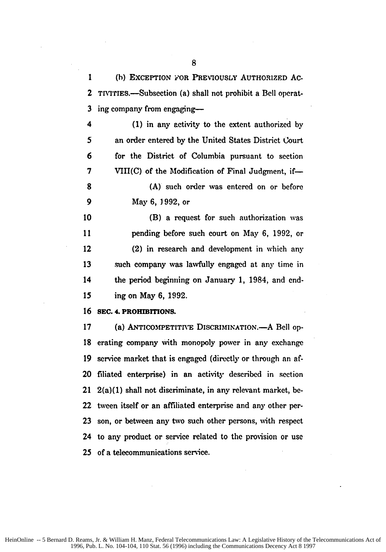1 (h) EXCEPTION FOR PREVIOUSLY AUTHORIZED Ac. 2 TIVITIES.—Subsection (a) shall not prohibit a Bell operat-3 ing company from engaging-

**(1)** in any activity to the extent authorized **by** an order entered by the United States District Court for the District of Columbia pursuant to section VIII(C) of the Modification of Final Judgment, if-**(A)** such order was entered on or before May **6,** 1992, or

(B) a request for such authorization was pending before such court on May 6, 1992, or 12 (2) in research and development in which any such company was lawfully engaged at any time in 14 the period beginning on January **1,** 1984, and end-ing on May **6, 1992.**

#### **16 SEC. 4. PROHIBITIONS.**

**17 (a) ANTICOMPETITIVE DISCRIMINATION.-A** Bell op-**18** erating company with monopoly power in any exchange **19** service market that is engaged (directly or through an af-20 filiated enterprise) in an activity described in section 21 2(a)(1) shall not discriminate, in any relevant market, be-22 tween itself or an affiliated enterprise and any other per-23 son, or between any two such other persons, with respect 24 to any product or service related to the provision or use **25** of a telecommunications service.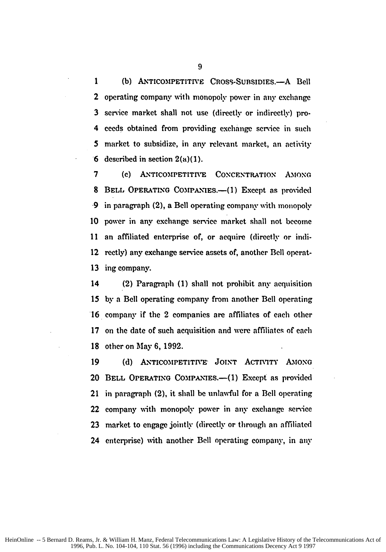1 (b) ANTICOMPETITIVE CROSS-SUBSIDIES.- A Bell 2 operating company with monopoly power in any exchange 3 service market shall not use (directly or indirectly) pro-4 **ceeds** obtained from providing exchange service in such 5 market to subsidize, in any relevant market, an activity 6 described in section  $2(a)(1)$ .

7 (c) ANTICOMPETITIVE CONCENTRATION AMONG **8 BELL OPERATING COMPANIES.-(1) Except as provided -9** in paragraph (2), a Bell operating company with monopoly **10** power in any exchange serice market shall not become **11** an affiliated enterprise of, or acquire (directly or indi-12 reetly) any exchange service assets of, another Bell operat-**13** ing company.

14 (2) Paragraph **(1)** shall not prohibit any acquisition 15 by a Bell operating company from another Bell operating **16** company if the 2 companies are affiliates of each other 17 on the date of such acquisition and were affiliates of each **18** other on May **6, 1992.**

19 (d) ANTICOMPETITIVE JOINT ACTIVITY AMONG 20 **BELL** OPERATING **COMPXX1ES.-(1)** Except as provided 21 in paragraph (2), it shall be unlawful for a Bell operating 22 company with monopoly power in any exchange service **23** market to engage jointly (directly or through an affiliated 24 enterprise) with another Bell operating company, in **any**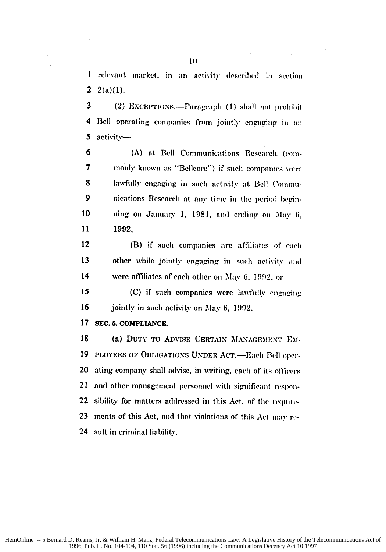**I** relevant market, in an actiity described **:n** section 2  $2(a)(1)$ .

3 (2) EXCEPTIONS.—Paragraph (1) shall not prohibit 4 Bell operating companies from jointly engaging in an 5 activity-

6 **(A)** at Bell Communications Research (coin-7 monly known as "Bellcore") if such companies were **8** lawfully engaging in such activity at Bell Commu-9 nications Research at any time in the period begin-**10** ning on January **1,** 1984, and ending on May 6, **11 1992,**

12 (B) if such companies are affiliates of each 13 other while jointly engaging in such activity and 14 were affiliates of each other on **May** 6, **1** 992. or

15 (C) if such companies were lawfully engaging 16 jointly in such activity on May 6, 1992.

#### **17 SEC. 5. COMPLLANCE.**

18 (a) DUTY TO ADVISE CERTAIN MANAGEMENT EM-19 PLOYEES OF OBLIGATIONS UNDER ACT.-Each Bell oper-20 ating company shall advise, in writing, each of its officers 21 and other management personnel with significant respon-22 sibility for matters addressed in this Act, of the require-**23** ments of this Act, and that violations of this Act **may re-**24 sult in criminal liability.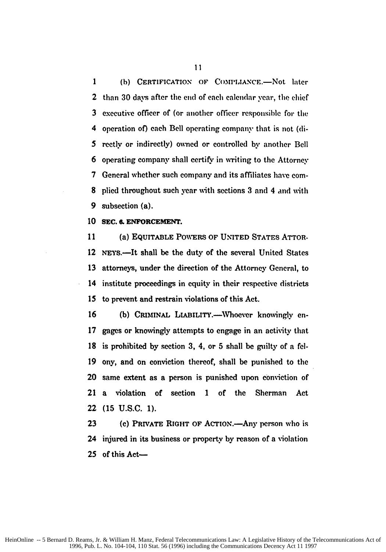1 (b) CERTIFICATION OF COMPLIANCE.-Not later 2 than **30** days after the end **of each** calendar year, the **chief 3** executive officer of (or another officer responsible for the 4 operation of) each Bell operating company that is not (di-*5* rectly or indirectly) owned or controlled by another Bell 6 operating company shall certify in writing to the Attorney 7 General whether such company and its affiliates have com-8 plied throughout such year with sections **3** and 4 and with **9** subsection (a).

**10 SEC.** *6.* **ENFORCEMENT.**

**11** (a) EQUITABLE POWERS OF UNITED STATES ATTOR-12 NEYS.—It shall be the duty of the several United States 13 attorneys, under the direction of the Attorney General, to 14 institute proceedings in equity in their respective districts **15** to prevent and restrain violations of this Act.

16 (b) CRIMINAL LIABILITY. Whoever knowingly en-17 gages or knowingly attempts to engage in an activity that **18** is prohibited by section **3,** 4, or **5** shall **be** guilty of a fel-**19** ony, and on conviction thereof, shall be punished to the 20 same extent as a person is punished upon conviction of 21 a violation of section 1 of the Sherman Act 22 **(15** U.S.C. **1).**

23 (c) PRIVATE RIGHT OF ACTION.—Any person who is 24 injured in its business or property by reason of a violation 25 of this Act-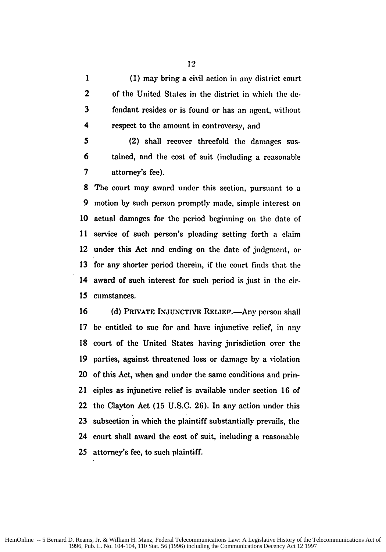**1 (1)** may bring a civil action in any district court 2 of the United States in the district in which the **de-**3 fendant resides or is found or has an agent, without respect to the amount in controversy, and

**5** (2) shall recover threefold the damages sus-6 tained, and the cost of suit (including a reasonable 7 attorney's fee).

8 The court may award under this section, pursuant to a 9 motion **by** such person promptly made, simple interest on 10 actual damages for the period beginning on the date of 11 service of such person's pleading setting forth a claim 12 under this Act and ending on the date of judgment, or 13 for any shorter period therein, if the court finds that the 14 award of such interest for such period is just in the cir-15 cumstances.

16 (d) PRIVATE INJUNCTIVE RELIEF.—Any person shall 17 be entitled to sue for and have injunctive relief, in any **18** court of the United States having jurisdiction over the **19** parties, against threatened loss or damage by a violation 20 of this Act, when and under the same conditions and prin-21 ciples as injunctive relief is available under section 16 of 22 the Clayton Act (15 U.S.C. 26). In any action under this 23 subsection in which the plaintiff substantially prevails, the 24 court shall award the cost of suit, including a reasonable 25 attorney's fee, to such plaintiff.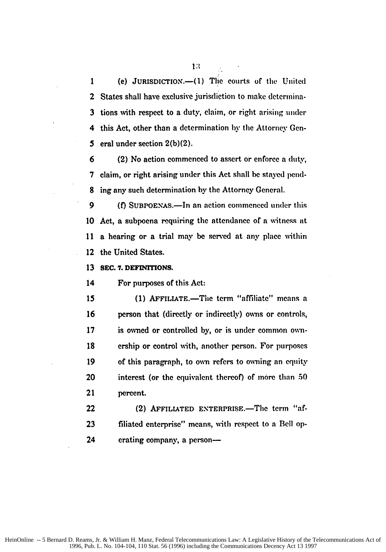**1** (e) **JURISDICTION.-(1)** The courts **of the** United 2 States shall have exclusive jurisdiction to make determina-3 tions with respect to a duty, claim, or right arising under 4 this Act, other than a determination by the Attorney Gen-5 eral under section **2(b)(2).**

6 (2) No action commenced to assert or enforce a duty, 7 claim, or right arising under this Act shall **be** stayed pend-**8** ing any such determination by the Attorney General.

9 (f) SUBPOENAS.—In an action commenced under this 10 Act, a subpoena requiring the attendance of a witness at 11 a hearing or a trial may be served at any place within 12 the United States.

**13 SEC. 7. DEFINrTONS.**

14 For purposes of this Act:

15 (1) **AFFILIATE.**—The term "affiliate" means a 16 person that (directly or indirectly) owns or controls, 17 is owned or controlled by, or is under common own-18 ership or control with, another person. For purposes **19** of this paragraph, to own refers to owning an equity 20 interest (or the equivalent thereof) of more than **50** 21 percent.

22 (2) **AFFILIATED ENTERPRISE.**—The term "af-**23** filiated enterprise" means, with respect to a Bell op-24 crating company, a person-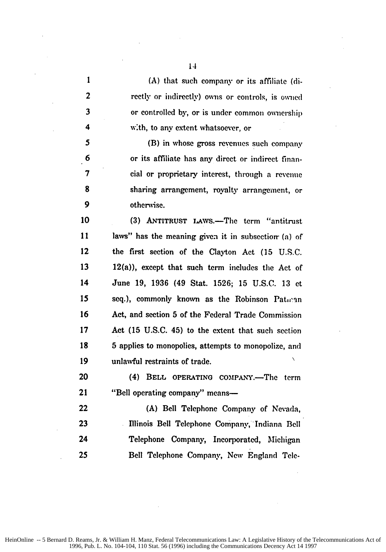| $\mathbf{1}$ | (A) that such company or its affiliate (di-          |
|--------------|------------------------------------------------------|
| $\mathbf{2}$ | rectly or indirectly) owns or controls, is owned     |
| 3            | or controlled by, or is under common ownership       |
| 4            | with, to any extent whatsoever, or                   |
| 5            | (B) in whose gross revenues such company             |
| 6            | or its affiliate has any direct or indirect finan-   |
| 7            | cial or proprietary interest, through a revenue      |
| 8            | sharing arrangement, royalty arrangement, or         |
| 9            | otherwise.                                           |
| 10           | (3) ANTITRUST LAWS.—The term "antitrust"             |
| 11           | laws" has the meaning given it in subsection (a) of  |
| 12           | the first section of the Clayton Act (15 U.S.C.      |
| 13           | $12(a)$ , except that such term includes the Act of  |
| 14           | June 19, 1936 (49 Stat. 1526; 15 U.S.C. 13 et        |
| 15           | seq.), commonly known as the Robinson Patran         |
| 16           | Act, and section 5 of the Federal Trade Commission   |
| 17           | Act (15 U.S.C. 45) to the extent that such section   |
| 18           | 5 applies to monopolies, attempts to monopolize, and |
| 19           | unlawful restraints of trade.                        |
| 20           | (4) BELL OPERATING COMPANY.-The term                 |
| 21           | "Bell operating company" means-                      |
| 22           | (A) Bell Telephone Company of Nevada,                |
| 23           | Illinois Bell Telephone Company, Indiana Bell        |
| 24           | Telephone Company, Incorporated, Michigan            |
| 25           | Bell Telephone Company, New England Tele-            |

l,

÷,

l,

J.

 $\ddot{\phantom{a}}$ 

 $\ddot{\phantom{0}}$ 

÷,

J,

l.

 $\sim$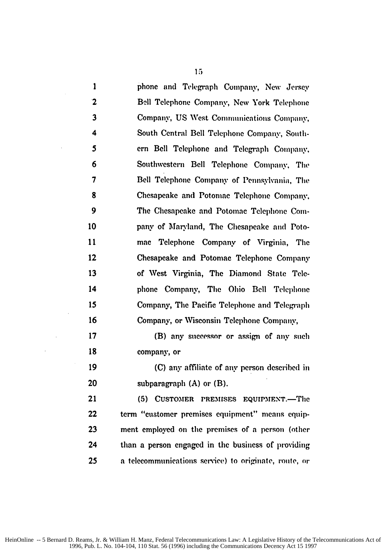**I** phone and Telegraph Company, New Jersey 2 Bell Telephone Company, New York Telephone 3 Company, **US** West Comunications Company, 4 South Central Bell Telephone Company, South-*5* ern Bell Telephone and Telegraph Company. 6 Southwestern Bell Telephone Company, The 7 Bell Telephone Company of Pennsylvania, The **8** Chesapeake and Potomac Telephone Company. 9 The Chesapeake and Potomac Telephone Cor-**10** pany of Maryland, The Chesapeake and Poto-11 mac Telephone Company of Virginia, The 12 Chesapeake and Potomac Telephone Company **13** of West Virginia, The Diamond State Tele-14 phone Company, The Ohio Bell Telephone 15 Company, The Pacific Telephone and Telegraph 16 Company, or Wisconsin Telephone Company, **17** (B) any successor or assign of any such **18** company, or 19 **(C)** any affiliate of any person described in 20 subparagraph **(A)** or (B). 21 (5) CUSTOMER PREMISES EQUIPMENT.—The 22 term "customer premises equipment" means equip-**23** ment employed on the premises of a person (other

24 than a person engaged in the business of providing 25 a telecommunications semice) to originate, route, **or**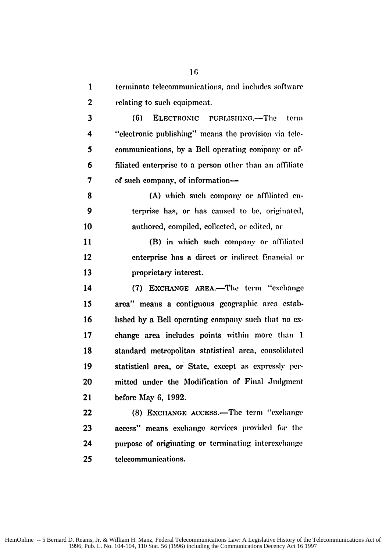**I** terminate telecommunications, **and** includes software 2 relating to such equipment.

3 **(6)** ELECTRONIC PUBLISIING.-The term 4 "electronic publishing" means the proxision via tele-*5* communications, by a Bell operating eompany or af-6 filiated enterprise to a person other than an affiliate **7 of such company, of information—** 

**8 (A)** which such company or affiliated en-9 terprise has, or has caused to **be,** originated, 10 authored, compiled, collected, or edited, or

11 (B) in which such company or affiliated 12 enterprise has a direct or indirect financial or **13** proprietary interest.

14 (7) **EXCHANGE AREA.**-The term "exchange **15** area" means a contiguous geographic area estab-16 lished by a Bell operating company such that no ex-17 change area includes points within more than **1 18** standard metropolitan statistical area, consolidated 19 statistical area, or SLate, except as expressly per-20 mitted under the Modification of Final Judgment 21 before May **6,** 1992.

22 **(8)** EXCHANGE ACCESS.-The terni "exehango 23 access" means exchange services provided for the 24 purpose of originating or terminating interexchange **25** telecommunications.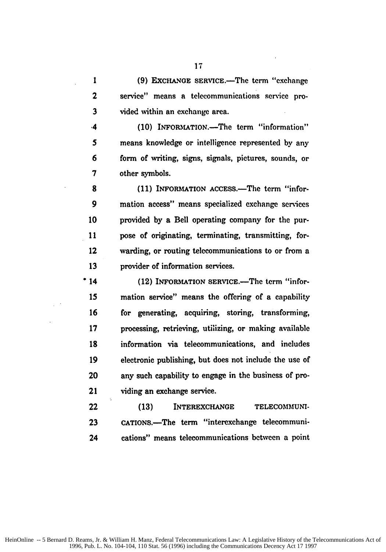**1 (9) EXCHANGE** SERVICE.-The term "exchange 2 service" means a telecommunications service pro-3 vided within an exchange area.

**(10)** INFORMATION.-The term "information"  $\cdot$ 4 **5** means knowledge or intelligence represented **by** any 6 form of writing, signs, signals, pictures, sounds, or **7** other symbols.

8 (11) **INFORMATION** ACCESS.—The term "infor-**9** mation access" means specialized exchange services 10 provided by a Bell operating company for the pur-11 pose of originating, terminating, transmitting, for-12 warding, or routing telecommunications to or from a 13 provider of information services.

<sup>•</sup> 14 (12) INFORMATION SERVICE.—The term "infor-**15** mation service" means the offering of a capability 16 for generating, acquiring, storing, transforming, 17 processing, retrieving, utilizing, or making available **18** information via telecommunications, and includes 19 electronic publishing, but does not include the use of 20 any such capability to engage in the business of pro-21 viding an exchange service.

22 **(13)** INTEREXCHANGE TELECOMMUNI-**23** CATIONS.-The term "interexchange telecommuni-24 cations" means telecommunications between a point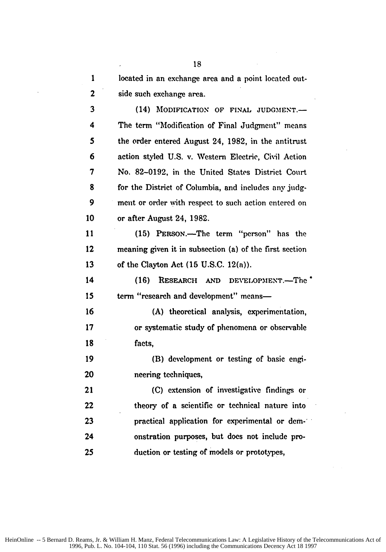| 1            | located in an exchange area and a point located out-    |
|--------------|---------------------------------------------------------|
| $\mathbf{z}$ | side such exchange area.                                |
| 3            | (14) MODIFICATION OF FINAL JUDGMENT.-                   |
| 4            | The term "Modification of Final Judgment" means         |
| 5            | the order entered August 24, 1982, in the antitrust     |
| 6            | action styled U.S. v. Western Electric, Civil Action    |
| 7            | No. 82-0192, in the United States District Court        |
| 8            | for the District of Columbia, and includes any judg-    |
| 9            | ment or order with respect to such action entered on    |
| 10           | or after August 24, 1982.                               |
| 11           | (15) PERSON.—The term "person" has the                  |
| 12           | meaning given it in subsection (a) of the first section |
| 13           | of the Clayton Act $(15 \text{ U.S.C. } 12(a))$ .       |
| 14           | RESEARCH AND DEVELOPMENT.-The<br>(16)                   |
| 15           | term "research and development" means-                  |
| 16           | (A) theoretical analysis, experimentation,              |
| 17           | or systematic study of phenomena or observable          |
| 18           | facts.                                                  |
| 19           | (B) development or testing of basic engi-               |
| 20           | neering techniques,                                     |
| 21           | (C) extension of investigative findings or              |
| 22           | theory of a scientific or technical nature into         |
| 23           | practical application for experimental or dem-          |
| 24           | onstration purposes, but does not include pro-          |
| 25           | duction or testing of models or prototypes,             |

 $\overline{\phantom{a}}$ 

 $\mathcal{L}_{\mathcal{A}}$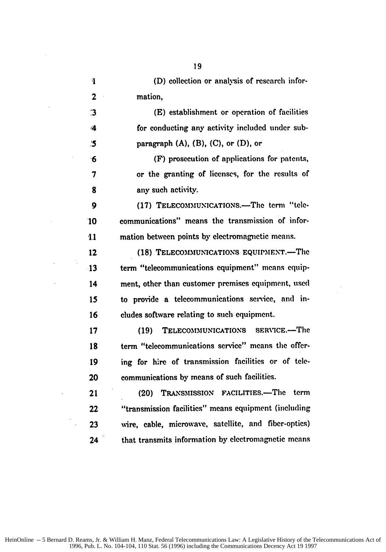| 1            | (D) collection or analysis of research infor-        |
|--------------|------------------------------------------------------|
| $\mathbf{2}$ | mation,                                              |
| $\mathbf{3}$ | (E) establishment or operation of facilities         |
| 4            | for conducting any activity included under sub-      |
| $\mathbf{5}$ | paragraph $(A)$ , $(B)$ , $(C)$ , or $(D)$ , or      |
| 16           | (F) prosecution of applications for patents,         |
| 7            | or the granting of licenses, for the results of      |
| 8            | any such activity.                                   |
| 9            | (17) TELECOMMUNICATIONS.—The term "tele-             |
| 10           | communications" means the transmission of infor-     |
| 11           | mation between points by electromagnetic means.      |
| 12           | (18) TELECOMMUNICATIONS EQUIPMENT.-The               |
| 13           | term "telecommunications equipment" means equip-     |
| 14           | ment, other than customer premises equipment, used   |
| 15           | to provide a telecommunications service, and in-     |
| 16           | cludes software relating to such equipment.          |
| 17           | TELECOMMUNICATIONS SERVICE.-The<br>(19)              |
| 18           | term "telecommunications service" means the offer-   |
| 19           | ing for hire of transmission facilities or of tele-  |
| 20           | communications by means of such facilities.          |
| 21           | TRANSMISSION FACILITIES.-The<br>term<br>(20)         |
| 22           | "transmission facilities" means equipment (including |
| 23           | wire, cable, microwave, satellite, and fiber-optics) |
| 24           | that transmits information by electromagnetic means  |

 $\frac{1}{2}$ 

 $\hat{\mathcal{L}}$ 

 $\hat{\mathcal{A}}$ 

 $\bar{\beta}$ 

 $\ddot{\phantom{a}}$ 

 $\hat{\mathcal{A}}$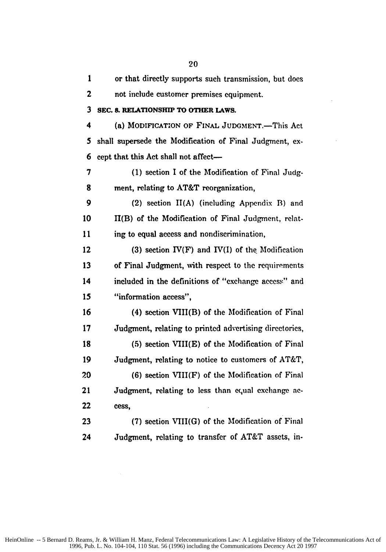| $\mathbf{1}$ | or that directly supports such transmission, but does   |
|--------------|---------------------------------------------------------|
| 2            | not include customer premises equipment.                |
| 3            | SEC. 8. RELATIONSHIP TO OTHER LAWS.                     |
| 4            | (a) MODIFICATION OF FINAL JUDGMENT.-This Act            |
| 5            | shall supersede the Modification of Final Judgment, ex- |
| 6            | cept that this Act shall not affect-                    |
| 7            | (1) section I of the Modification of Final Judg-        |
| 8            | ment, relating to AT&T reorganization,                  |
| 9            | (2) section $H(A)$ (including Appendix B) and           |
| 10           | II(B) of the Modification of Final Judgment, relat-     |
| 11           | ing to equal access and nondiscrimination,              |
| 12           | (3) section $IV(F)$ and $IV(I)$ of the Modification     |
| 13           | of Final Judgment, with respect to the requirements     |
| 14           | included in the definitions of "exchange access" and    |
| 15           | "information access",                                   |
| 16           | (4) section VIII(B) of the Modification of Final        |
| 17           | Judgment, relating to printed advertising directories,  |
| 18           | (5) section VIII(E) of the Modification of Final        |
| 19           | Judgment, relating to notice to customers of AT&T,      |
| 20           | (6) section VIII(F) of the Modification of Final        |
| 21           | Judgment, relating to less than equal exchange ac-      |
| 22           | cess,                                                   |
| 23           | (7) section VIII(G) of the Modification of Final        |
| 24           | Judgment, relating to transfer of AT&T assets, in-      |

 $\hat{\boldsymbol{\beta}}$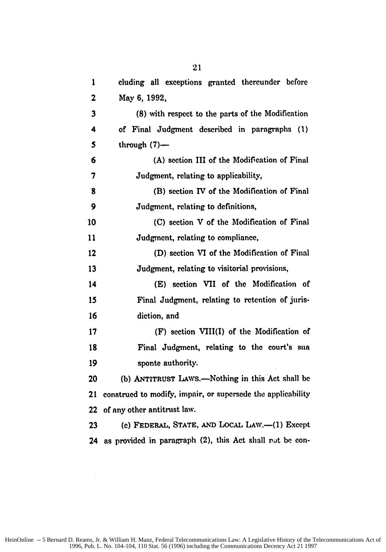| 1               | cluding all exceptions granted thereunder before            |
|-----------------|-------------------------------------------------------------|
| $\mathbf{2}$    | May 6, 1992,                                                |
| 3               | (8) with respect to the parts of the Modification           |
| 4               | of Final Judgment described in paragraphs (1)               |
| 5               | through $(7)$ —                                             |
| $6\phantom{1}6$ | (A) section III of the Modification of Final                |
| 7               | Judgment, relating to applicability,                        |
| $\mathbf{8}$    | (B) section IV of the Modification of Final                 |
| -9              | Judgment, relating to definitions,                          |
| 10              | (C) section V of the Modification of Final                  |
| 11              | Judgment, relating to compliance,                           |
| 12              | (D) section VI of the Modification of Final                 |
| 13              | Judgment, relating to visitorial provisions,                |
| 14              | (E) section VII of the Modification of                      |
| 15              | Final Judgment, relating to retention of juris-             |
| 16              | diction, and                                                |
| 17              | (F) section VIII(I) of the Modification of                  |
| 18              | Final Judgment, relating to the court's sua                 |
| 19              | sponte authority.                                           |
| 20              | (b) ANTITRUST LAWS.—Nothing in this Act shall be            |
| 21              | construed to modify, impair, or supersede the applicability |
| 22              | of any other antitrust law.                                 |
| 23              | (c) FEDERAL, STATE, AND LOCAL LAW.-(1) Except               |
| 24              | as provided in paragraph (2), this Act shall not be con-    |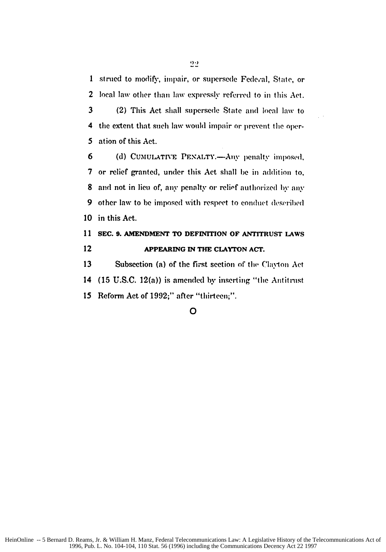1 strued to modify, impair, or supersede Federal, State, or 2 local law other than law expressly referred to in this Act.

3 (2) This Act shall supersede State and local law to 4 the extent that such law would impair or prevent the oper-**5** ation of this Act.

6 (d) **CUMULATIVE PENALTY.—Any penalty imposed**, **7** or relief granted, under this Act shall **be** in addition to, 8 and not in lieu of, **any** penalty or relipf authorized **by** any 9 other law to **be** imposed with respect to conduct (leseril)ed **10** in this Act.

# **11 SEC. 9. AMENDMENT TO DEFINITION OF ANTITRUST LAWS** 12 **APPEARING IN THE CLAYTON ACT.**

13 **Subsection (a) of the first section of the Clayton Act** 14 (15 U.S.C. 12(a)) is amended **by** inserting "the Antitrust 15 Reform Act of 1992;" after "thirteen;".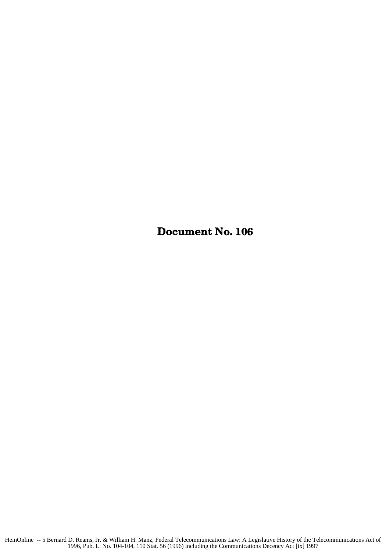Document No. **106**